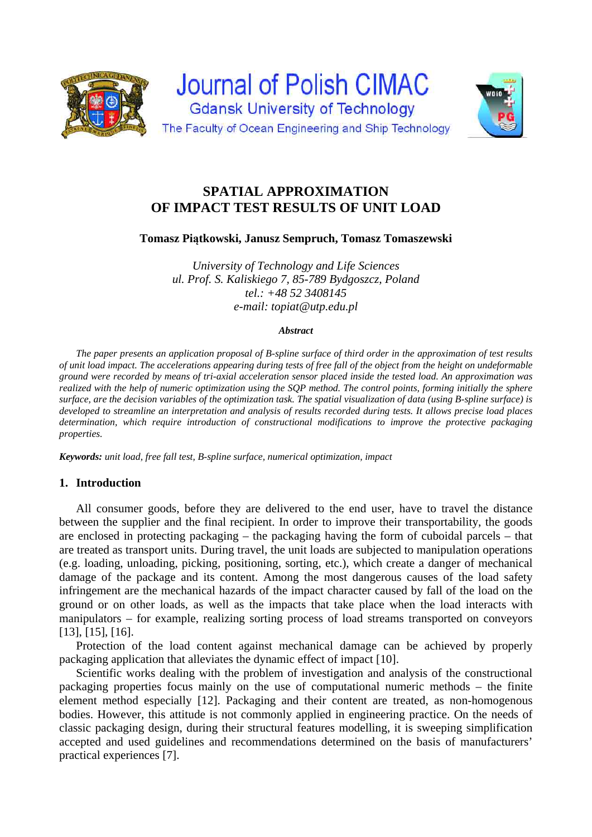



# **SPATIAL APPROXIMATION OF IMPACT TEST RESULTS OF UNIT LOAD**

**Tomasz Piątkowski, Janusz Sempruch, Tomasz Tomaszewski** 

*University of Technology and Life Sciences ul. Prof. S. Kaliskiego 7, 85-789 Bydgoszcz, Poland tel.: +48 52 3408145 e-mail: topiat@utp.edu.pl*

#### *Abstract*

*The paper presents an application proposal of B-spline surface of third order in the approximation of test results of unit load impact. The accelerations appearing during tests of free fall of the object from the height on undeformable ground were recorded by means of tri-axial acceleration sensor placed inside the tested load. An approximation was realized with the help of numeric optimization using the SQP method. The control points, forming initially the sphere surface, are the decision variables of the optimization task. The spatial visualization of data (using B-spline surface) is developed to streamline an interpretation and analysis of results recorded during tests. It allows precise load places determination, which require introduction of constructional modifications to improve the protective packaging properties.* 

*Keywords: unit load, free fall test, B-spline surface, numerical optimization, impact* 

# **1. Introduction**

All consumer goods, before they are delivered to the end user, have to travel the distance between the supplier and the final recipient. In order to improve their transportability, the goods are enclosed in protecting packaging – the packaging having the form of cuboidal parcels – that are treated as transport units. During travel, the unit loads are subjected to manipulation operations (e.g. loading, unloading, picking, positioning, sorting, etc.), which create a danger of mechanical damage of the package and its content. Among the most dangerous causes of the load safety infringement are the mechanical hazards of the impact character caused by fall of the load on the ground or on other loads, as well as the impacts that take place when the load interacts with manipulators – for example, realizing sorting process of load streams transported on conveyors [13], [15], [16].

Protection of the load content against mechanical damage can be achieved by properly packaging application that alleviates the dynamic effect of impact [10].

Scientific works dealing with the problem of investigation and analysis of the constructional packaging properties focus mainly on the use of computational numeric methods – the finite element method especially [12]. Packaging and their content are treated, as non-homogenous bodies. However, this attitude is not commonly applied in engineering practice. On the needs of classic packaging design, during their structural features modelling, it is sweeping simplification accepted and used guidelines and recommendations determined on the basis of manufacturers' practical experiences [7].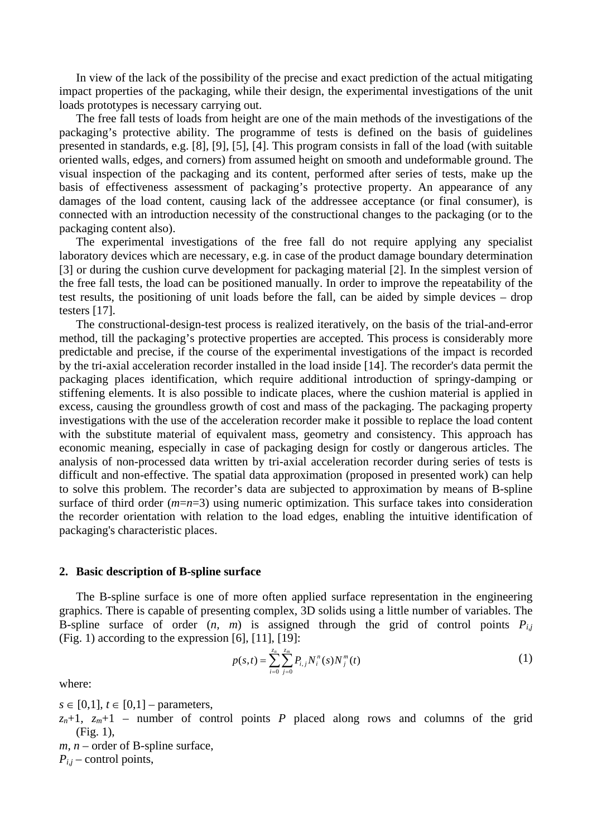In view of the lack of the possibility of the precise and exact prediction of the actual mitigating impact properties of the packaging, while their design, the experimental investigations of the unit loads prototypes is necessary carrying out.

The free fall tests of loads from height are one of the main methods of the investigations of the packaging's protective ability. The programme of tests is defined on the basis of guidelines presented in standards, e.g. [8], [9], [5], [4]. This program consists in fall of the load (with suitable oriented walls, edges, and corners) from assumed height on smooth and undeformable ground. The visual inspection of the packaging and its content, performed after series of tests, make up the basis of effectiveness assessment of packaging's protective property. An appearance of any damages of the load content, causing lack of the addressee acceptance (or final consumer), is connected with an introduction necessity of the constructional changes to the packaging (or to the packaging content also).

The experimental investigations of the free fall do not require applying any specialist laboratory devices which are necessary, e.g. in case of the product damage boundary determination [3] or during the cushion curve development for packaging material [2]. In the simplest version of the free fall tests, the load can be positioned manually. In order to improve the repeatability of the test results, the positioning of unit loads before the fall, can be aided by simple devices – drop testers [17].

The constructional-design-test process is realized iteratively, on the basis of the trial-and-error method, till the packaging's protective properties are accepted. This process is considerably more predictable and precise, if the course of the experimental investigations of the impact is recorded by the tri-axial acceleration recorder installed in the load inside [14]. The recorder's data permit the packaging places identification, which require additional introduction of springy-damping or stiffening elements. It is also possible to indicate places, where the cushion material is applied in excess, causing the groundless growth of cost and mass of the packaging. The packaging property investigations with the use of the acceleration recorder make it possible to replace the load content with the substitute material of equivalent mass, geometry and consistency. This approach has economic meaning, especially in case of packaging design for costly or dangerous articles. The analysis of non-processed data written by tri-axial acceleration recorder during series of tests is difficult and non-effective. The spatial data approximation (proposed in presented work) can help to solve this problem. The recorder's data are subjected to approximation by means of B-spline surface of third order (*m*=*n*=3) using numeric optimization. This surface takes into consideration the recorder orientation with relation to the load edges, enabling the intuitive identification of packaging's characteristic places.

#### **2. Basic description of B-spline surface**

The B-spline surface is one of more often applied surface representation in the engineering graphics. There is capable of presenting complex, 3D solids using a little number of variables. The B-spline surface of order  $(n, m)$  is assigned through the grid of control points  $P_{ij}$ (Fig. 1) according to the expression [6], [11], [19]:

$$
p(s,t) = \sum_{i=0}^{z_n} \sum_{j=0}^{z_m} P_{i,j} N_i^n(s) N_j^m(t)
$$
 (1)

where:

 $s \in [0,1]$ ,  $t \in [0,1]$  – parameters,

 $z_n+1$ ,  $z_m+1$  – number of control points *P* placed along rows and columns of the grid (Fig. 1),

 $m, n$  – order of B-spline surface,

 $P_{i,j}$  – control points,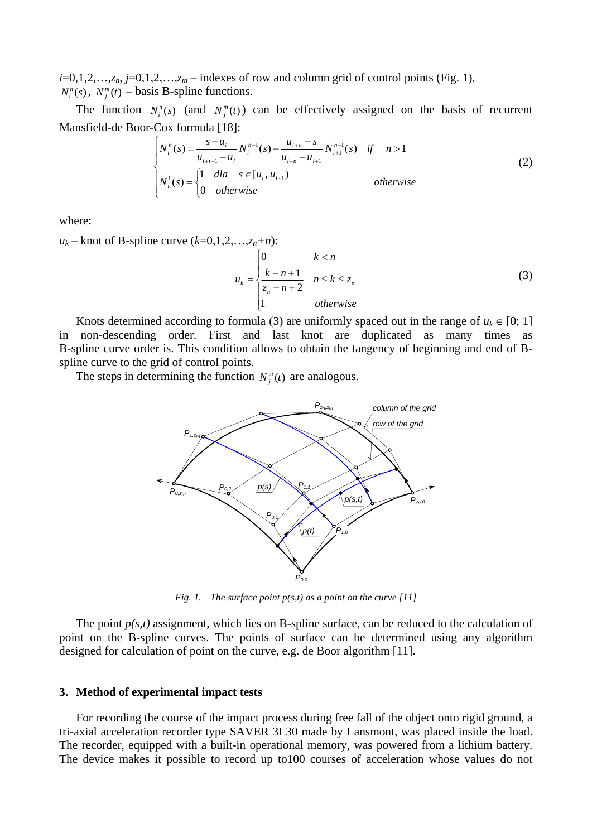$i=0,1,2,\ldots,z_n$ ,  $j=0,1,2,\ldots,z_m$  – indexes of row and column grid of control points (Fig. 1),  $N_i^n(s)$ ,  $N_j^m(t)$  – basis B-spline functions.

The function  $N_i^n(s)$  (and  $N_j^m(t)$ ) can be effectively assigned on the basis of recurrent Mansfield-de Boor-Cox formula [18]:

$$
\begin{cases}\nN_i^n(s) = \frac{s - u_i}{u_{i+i-1} - u_i} N_i^{n-1}(s) + \frac{u_{i+n} - s}{u_{i+n} - u_{i+1}} N_{i+1}^{n-1}(s) & \text{if } n > 1 \\
N_i^1(s) = \begin{cases}\n1 & \text{d}l a & s \in [u_i, u_{i+1}) \\
0 & \text{otherwise}\n\end{cases} & \text{otherwise}\n\end{cases}
$$
\n(2)

where:

 $u_k$  – knot of B-spline curve  $(k=0,1,2,\ldots,z_n+n)$ :

$$
u_k = \begin{cases} 0 & k < n \\ \frac{k-n+1}{z_n - n + 2} & n \le k \le z_n \\ 1 & otherwise \end{cases}
$$
 (3)

Knots determined according to formula (3) are uniformly spaced out in the range of  $u_k \in [0; 1]$ in non-descending order. First and last knot are duplicated as many times as B-spline curve order is. This condition allows to obtain the tangency of beginning and end of Bspline curve to the grid of control points.

The steps in determining the function  $N_j^m(t)$  are analogous.



*Fig. 1. The surface point p(s,t) as a point on the curve [11]* 

The point  $p(s,t)$  assignment, which lies on B-spline surface, can be reduced to the calculation of point on the B-spline curves. The points of surface can be determined using any algorithm designed for calculation of point on the curve, e.g. de Boor algorithm [11].

#### **3. Method of experimental impact tests**

For recording the course of the impact process during free fall of the object onto rigid ground, a tri-axial acceleration recorder type SAVER 3L30 made by Lansmont, was placed inside the load. The recorder, equipped with a built-in operational memory, was powered from a lithium battery. The device makes it possible to record up to100 courses of acceleration whose values do not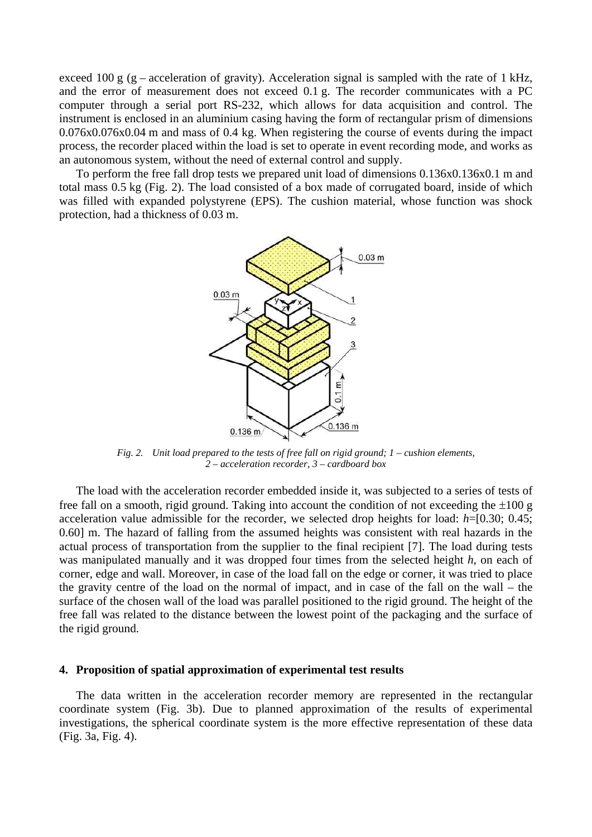exceed 100 g (g – acceleration of gravity). Acceleration signal is sampled with the rate of 1 kHz, and the error of measurement does not exceed 0.1 g. The recorder communicates with a PC computer through a serial port RS-232, which allows for data acquisition and control. The instrument is enclosed in an aluminium casing having the form of rectangular prism of dimensions 0.076x0.076x0.04 m and mass of 0.4 kg. When registering the course of events during the impact process, the recorder placed within the load is set to operate in event recording mode, and works as an autonomous system, without the need of external control and supply.

To perform the free fall drop tests we prepared unit load of dimensions 0.136x0.136x0.1 m and total mass 0.5 kg (Fig. 2). The load consisted of a box made of corrugated board, inside of which was filled with expanded polystyrene (EPS). The cushion material, whose function was shock protection, had a thickness of 0.03 m.



*Fig. 2. Unit load prepared to the tests of free fall on rigid ground; 1 – cushion elements, 2 – acceleration recorder, 3 – cardboard box* 

The load with the acceleration recorder embedded inside it, was subjected to a series of tests of free fall on a smooth, rigid ground. Taking into account the condition of not exceeding the  $\pm 100$  g acceleration value admissible for the recorder, we selected drop heights for load: *h*=[0.30; 0.45; 0.60] m. The hazard of falling from the assumed heights was consistent with real hazards in the actual process of transportation from the supplier to the final recipient [7]. The load during tests was manipulated manually and it was dropped four times from the selected height *h*, on each of corner, edge and wall. Moreover, in case of the load fall on the edge or corner, it was tried to place the gravity centre of the load on the normal of impact, and in case of the fall on the wall – the surface of the chosen wall of the load was parallel positioned to the rigid ground. The height of the free fall was related to the distance between the lowest point of the packaging and the surface of the rigid ground.

#### **4. Proposition of spatial approximation of experimental test results**

The data written in the acceleration recorder memory are represented in the rectangular coordinate system (Fig. 3b). Due to planned approximation of the results of experimental investigations, the spherical coordinate system is the more effective representation of these data (Fig. 3a, Fig. 4).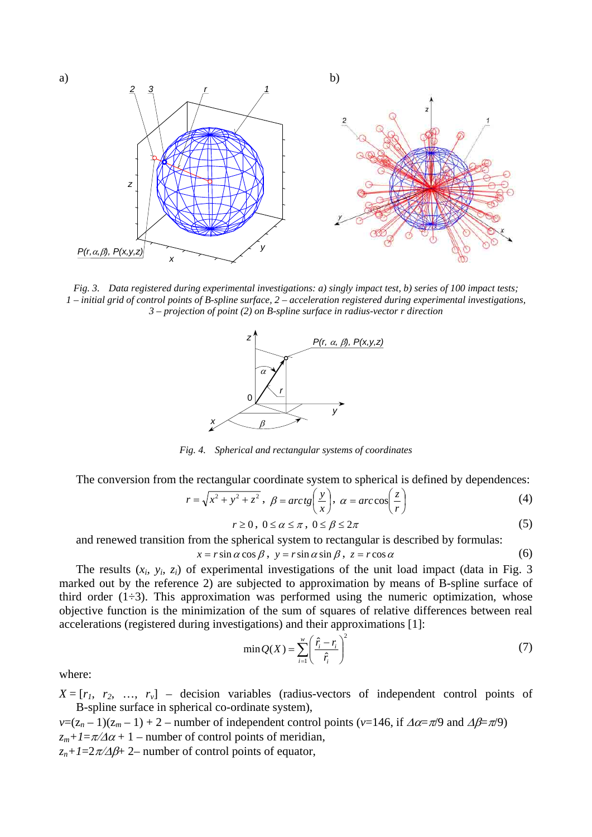

*Fig. 3. Data registered during experimental investigations: a) singly impact test, b) series of 100 impact tests; 1 – initial grid of control points of B-spline surface, 2 – acceleration registered during experimental investigations, 3 – projection of point (2) on B-spline surface in radius-vector r direction* 



*Fig. 4. Spherical and rectangular systems of coordinates* 

The conversion from the rectangular coordinate system to spherical is defined by dependences:

$$
r = \sqrt{x^2 + y^2 + z^2}, \ \beta = \arctg\left(\frac{y}{x}\right), \ \alpha = \arccos\left(\frac{z}{r}\right) \tag{4}
$$

$$
r \ge 0, \ 0 \le \alpha \le \pi, \ 0 \le \beta \le 2\pi \tag{5}
$$

and renewed transition from the spherical system to rectangular is described by formulas:

$$
x = r\sin\alpha\cos\beta, \ y = r\sin\alpha\sin\beta, \ z = r\cos\alpha \tag{6}
$$

The results (*xi, yi, zi*) of experimental investigations of the unit load impact (data in Fig. 3 marked out by the reference 2) are subjected to approximation by means of B-spline surface of third order  $(1\div 3)$ . This approximation was performed using the numeric optimization, whose objective function is the minimization of the sum of squares of relative differences between real accelerations (registered during investigations) and their approximations [1]:

$$
\min Q(X) = \sum_{i=1}^{w} \left( \frac{\hat{r}_i - r_i}{\hat{r}_i} \right)^2 \tag{7}
$$

where:

 $X = [r_1, r_2, ..., r_v]$  – decision variables (radius-vectors of independent control points of B-spline surface in spherical co-ordinate system),

 $v=(z_n-1)(z_m-1)+2$  – number of independent control points ( $v=146$ , if  $\Delta \alpha = \pi/9$  and  $\Delta \beta = \pi/9$ )  $z_m+1=\pi/\Delta\alpha+1$  – number of control points of meridian,

 $z_n+1=2\pi/ \Delta\beta+2$ – number of control points of equator,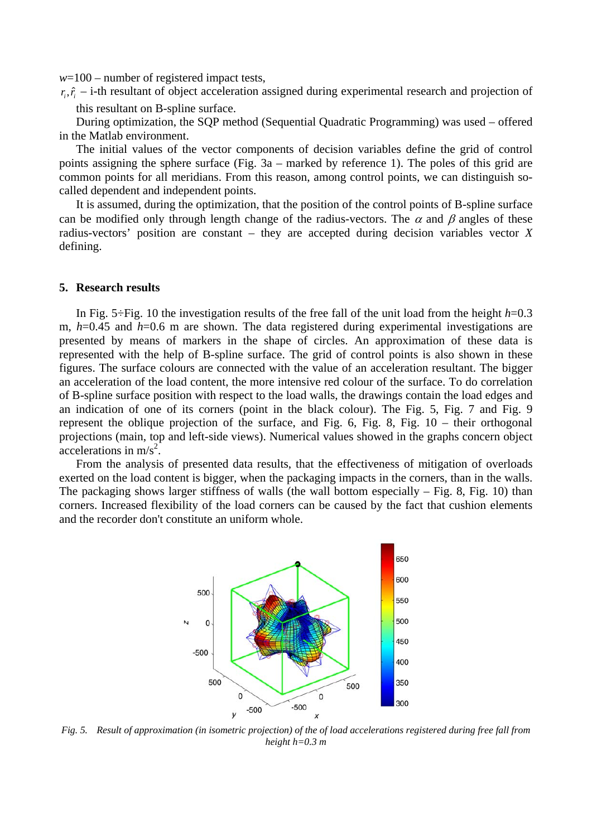*w*=100 – number of registered impact tests,

 $r_i$ ,  $\hat{r}_i$  – i-th resultant of object acceleration assigned during experimental research and projection of this resultant on B-spline surface.

During optimization, the SQP method (Sequential Quadratic Programming) was used – offered in the Matlab environment.

The initial values of the vector components of decision variables define the grid of control points assigning the sphere surface (Fig. 3a – marked by reference 1). The poles of this grid are common points for all meridians. From this reason, among control points, we can distinguish socalled dependent and independent points.

It is assumed, during the optimization, that the position of the control points of B-spline surface can be modified only through length change of the radius-vectors. The  $\alpha$  and  $\beta$  angles of these radius-vectors' position are constant – they are accepted during decision variables vector *X* defining.

#### **5. Research results**

In Fig. 5÷Fig. 10 the investigation results of the free fall of the unit load from the height  $h=0.3$ m, *h*=0.45 and *h*=0.6 m are shown. The data registered during experimental investigations are presented by means of markers in the shape of circles. An approximation of these data is represented with the help of B-spline surface. The grid of control points is also shown in these figures. The surface colours are connected with the value of an acceleration resultant. The bigger an acceleration of the load content, the more intensive red colour of the surface. To do correlation of B-spline surface position with respect to the load walls, the drawings contain the load edges and an indication of one of its corners (point in the black colour). The Fig. 5, Fig. 7 and Fig. 9 represent the oblique projection of the surface, and Fig. 6, Fig. 8, Fig. 10 – their orthogonal projections (main, top and left-side views). Numerical values showed in the graphs concern object  $\arcc{e}$  accelerations in m/s<sup>2</sup>.

From the analysis of presented data results, that the effectiveness of mitigation of overloads exerted on the load content is bigger, when the packaging impacts in the corners, than in the walls. The packaging shows larger stiffness of walls (the wall bottom especially  $-$  Fig. 8, Fig. 10) than corners. Increased flexibility of the load corners can be caused by the fact that cushion elements and the recorder don't constitute an uniform whole.



*Fig. 5. Result of approximation (in isometric projection) of the of load accelerations registered during free fall from height h=0.3 m*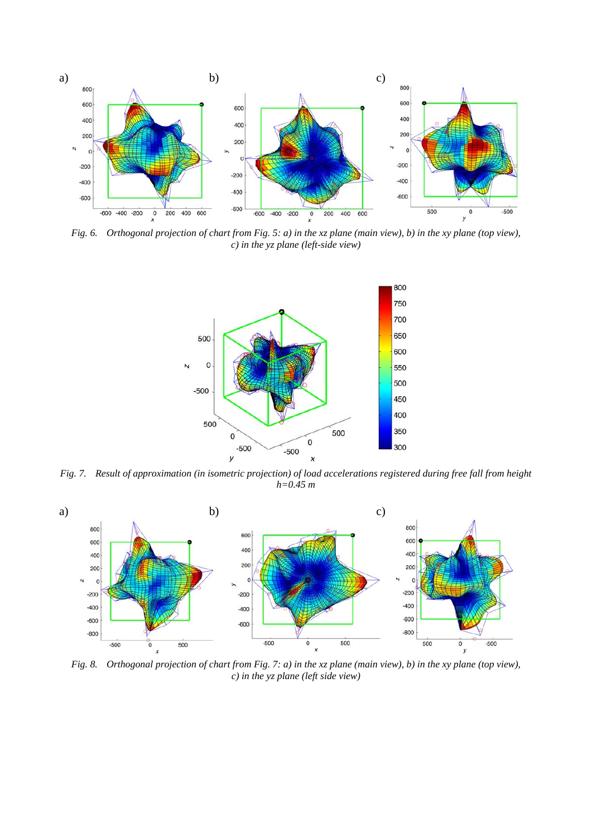

*Fig. 6. Orthogonal projection of chart from Fig. 5: a) in the xz plane (main view), b) in the xy plane (top view), c) in the yz plane (left-side view)* 



*Fig. 7. Result of approximation (in isometric projection) of load accelerations registered during free fall from height h=0.45 m* 



*Fig. 8. Orthogonal projection of chart from Fig. 7: a) in the xz plane (main view), b) in the xy plane (top view), c) in the yz plane (left side view)*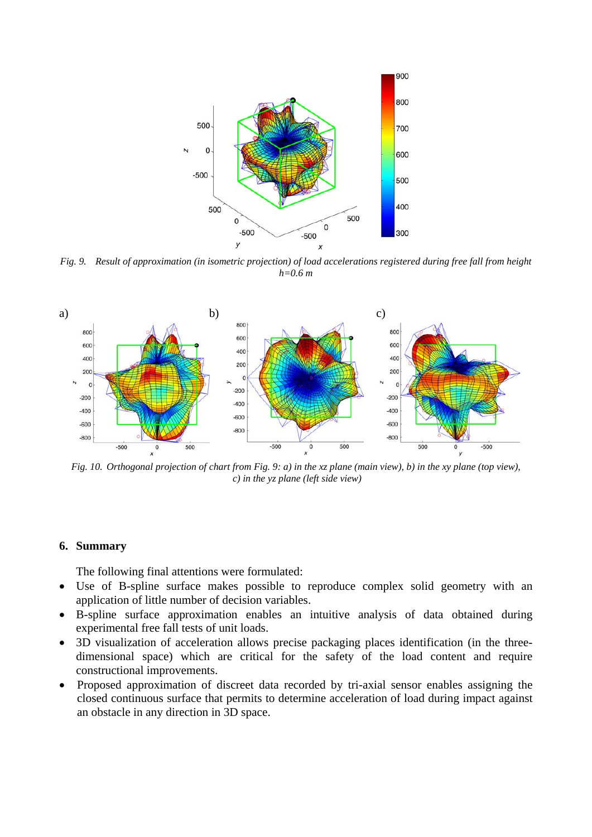

*Fig. 9. Result of approximation (in isometric projection) of load accelerations registered during free fall from height h=0.6 m* 



*Fig. 10. Orthogonal projection of chart from Fig. 9: a) in the xz plane (main view), b) in the xy plane (top view), c) in the yz plane (left side view)* 

## **6. Summary**

The following final attentions were formulated:

- Use of B-spline surface makes possible to reproduce complex solid geometry with an application of little number of decision variables.
- B-spline surface approximation enables an intuitive analysis of data obtained during experimental free fall tests of unit loads.
- 3D visualization of acceleration allows precise packaging places identification (in the threedimensional space) which are critical for the safety of the load content and require constructional improvements.
- Proposed approximation of discreet data recorded by tri-axial sensor enables assigning the closed continuous surface that permits to determine acceleration of load during impact against an obstacle in any direction in 3D space.